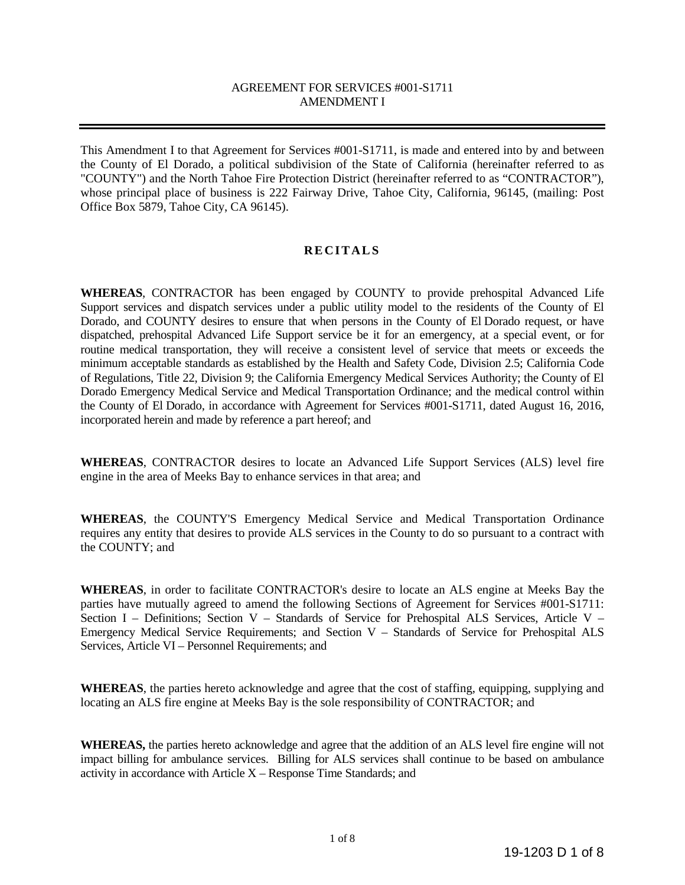#### AGREEMENT FOR SERVICES #001-S1711 AMENDMENT I

This Amendment I to that Agreement for Services #001-S1711, is made and entered into by and between the County of El Dorado, a political subdivision of the State of California (hereinafter referred to as "COUNTY") and the North Tahoe Fire Protection District (hereinafter referred to as "CONTRACTOR"), whose principal place of business is 222 Fairway Drive, Tahoe City, California, 96145, (mailing: Post Office Box 5879, Tahoe City, CA 96145).

#### **RECITALS**

**WHEREAS**, CONTRACTOR has been engaged by COUNTY to provide prehospital Advanced Life Support services and dispatch services under a public utility model to the residents of the County of El Dorado, and COUNTY desires to ensure that when persons in the County of El Dorado request, or have dispatched, prehospital Advanced Life Support service be it for an emergency, at a special event, or for routine medical transportation, they will receive a consistent level of service that meets or exceeds the minimum acceptable standards as established by the Health and Safety Code, Division 2.5; California Code of Regulations, Title 22, Division 9; the California Emergency Medical Services Authority; the County of El Dorado Emergency Medical Service and Medical Transportation Ordinance; and the medical control within the County of El Dorado, in accordance with Agreement for Services #001-S1711, dated August 16, 2016, incorporated herein and made by reference a part hereof; and

**WHEREAS**, CONTRACTOR desires to locate an Advanced Life Support Services (ALS) level fire engine in the area of Meeks Bay to enhance services in that area; and

**WHEREAS**, the COUNTY'S Emergency Medical Service and Medical Transportation Ordinance requires any entity that desires to provide ALS services in the County to do so pursuant to a contract with the COUNTY; and

**WHEREAS**, in order to facilitate CONTRACTOR's desire to locate an ALS engine at Meeks Bay the parties have mutually agreed to amend the following Sections of Agreement for Services #001-S1711: Section I – Definitions; Section V – Standards of Service for Prehospital ALS Services, Article V – Emergency Medical Service Requirements; and Section V – Standards of Service for Prehospital ALS Services, Article VI – Personnel Requirements; and

**WHEREAS**, the parties hereto acknowledge and agree that the cost of staffing, equipping, supplying and locating an ALS fire engine at Meeks Bay is the sole responsibility of CONTRACTOR; and

**WHEREAS,** the parties hereto acknowledge and agree that the addition of an ALS level fire engine will not impact billing for ambulance services. Billing for ALS services shall continue to be based on ambulance activity in accordance with Article  $X -$ Response Time Standards; and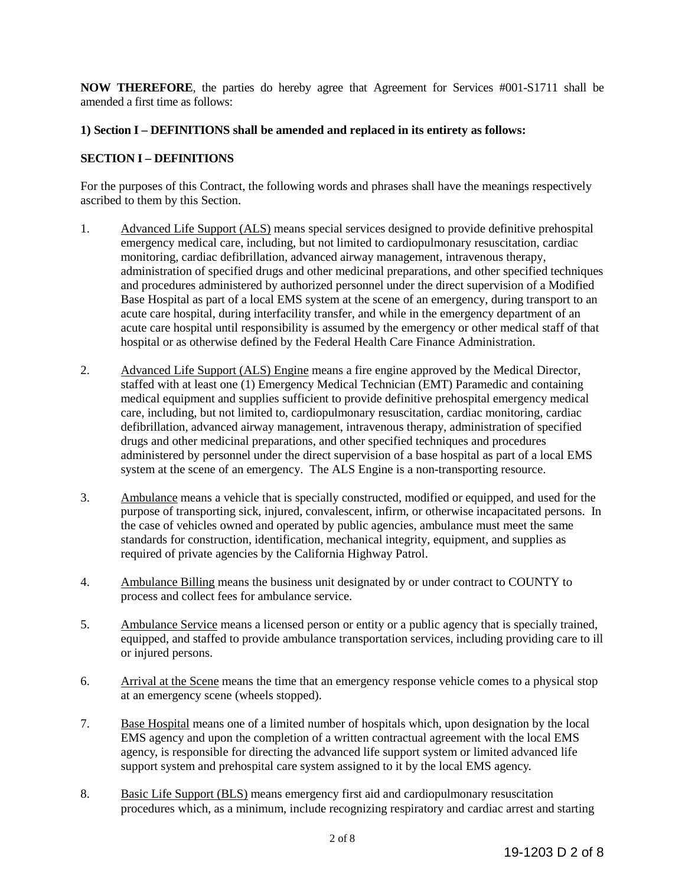**NOW THEREFORE**, the parties do hereby agree that Agreement for Services #001-S1711 shall be amended a first time as follows:

# **1) Section I – DEFINITIONS shall be amended and replaced in its entirety as follows:**

## **SECTION I – DEFINITIONS**

For the purposes of this Contract, the following words and phrases shall have the meanings respectively ascribed to them by this Section.

- 1. Advanced Life Support (ALS) means special services designed to provide definitive prehospital emergency medical care, including, but not limited to cardiopulmonary resuscitation, cardiac monitoring, cardiac defibrillation, advanced airway management, intravenous therapy, administration of specified drugs and other medicinal preparations, and other specified techniques and procedures administered by authorized personnel under the direct supervision of a Modified Base Hospital as part of a local EMS system at the scene of an emergency, during transport to an acute care hospital, during interfacility transfer, and while in the emergency department of an acute care hospital until responsibility is assumed by the emergency or other medical staff of that hospital or as otherwise defined by the Federal Health Care Finance Administration.
- 2. Advanced Life Support (ALS) Engine means a fire engine approved by the Medical Director, staffed with at least one (1) Emergency Medical Technician (EMT) Paramedic and containing medical equipment and supplies sufficient to provide definitive prehospital emergency medical care, including, but not limited to, cardiopulmonary resuscitation, cardiac monitoring, cardiac defibrillation, advanced airway management, intravenous therapy, administration of specified drugs and other medicinal preparations, and other specified techniques and procedures administered by personnel under the direct supervision of a base hospital as part of a local EMS system at the scene of an emergency. The ALS Engine is a non-transporting resource.
- 3. Ambulance means a vehicle that is specially constructed, modified or equipped, and used for the purpose of transporting sick, injured, convalescent, infirm, or otherwise incapacitated persons. In the case of vehicles owned and operated by public agencies, ambulance must meet the same standards for construction, identification, mechanical integrity, equipment, and supplies as required of private agencies by the California Highway Patrol.
- 4. Ambulance Billing means the business unit designated by or under contract to COUNTY to process and collect fees for ambulance service.
- 5. Ambulance Service means a licensed person or entity or a public agency that is specially trained, equipped, and staffed to provide ambulance transportation services, including providing care to ill or injured persons.
- 6. Arrival at the Scene means the time that an emergency response vehicle comes to a physical stop at an emergency scene (wheels stopped).
- 7. Base Hospital means one of a limited number of hospitals which, upon designation by the local EMS agency and upon the completion of a written contractual agreement with the local EMS agency, is responsible for directing the advanced life support system or limited advanced life support system and prehospital care system assigned to it by the local EMS agency.
- 8. Basic Life Support (BLS) means emergency first aid and cardiopulmonary resuscitation procedures which, as a minimum, include recognizing respiratory and cardiac arrest and starting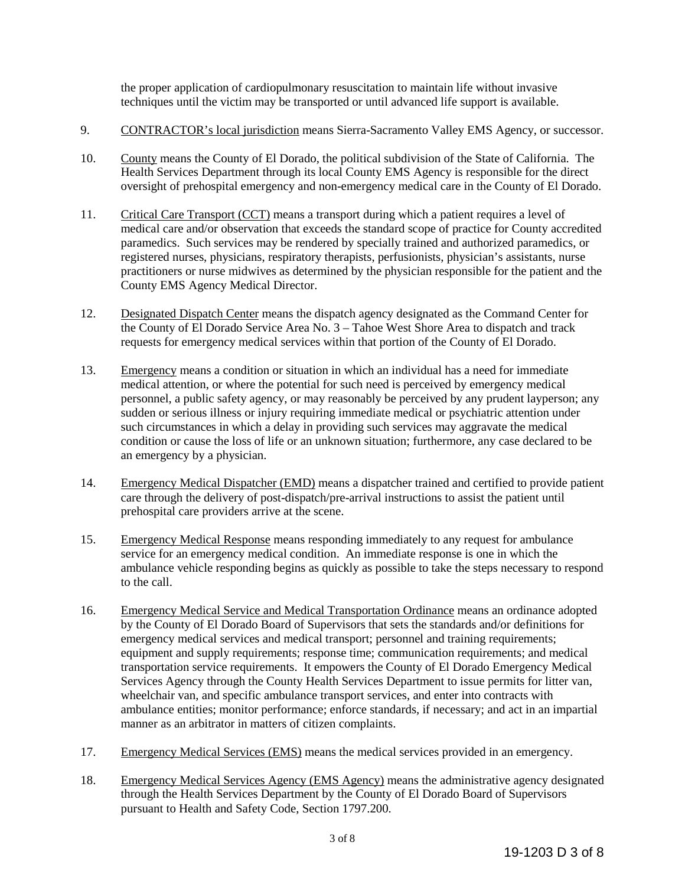the proper application of cardiopulmonary resuscitation to maintain life without invasive techniques until the victim may be transported or until advanced life support is available.

- 9. CONTRACTOR's local jurisdiction means Sierra-Sacramento Valley EMS Agency, or successor.
- 10. County means the County of El Dorado, the political subdivision of the State of California. The Health Services Department through its local County EMS Agency is responsible for the direct oversight of prehospital emergency and non-emergency medical care in the County of El Dorado.
- 11. Critical Care Transport (CCT) means a transport during which a patient requires a level of medical care and/or observation that exceeds the standard scope of practice for County accredited paramedics. Such services may be rendered by specially trained and authorized paramedics, or registered nurses, physicians, respiratory therapists, perfusionists, physician's assistants, nurse practitioners or nurse midwives as determined by the physician responsible for the patient and the County EMS Agency Medical Director.
- 12. Designated Dispatch Center means the dispatch agency designated as the Command Center for the County of El Dorado Service Area No. 3 – Tahoe West Shore Area to dispatch and track requests for emergency medical services within that portion of the County of El Dorado.
- 13. Emergency means a condition or situation in which an individual has a need for immediate medical attention, or where the potential for such need is perceived by emergency medical personnel, a public safety agency, or may reasonably be perceived by any prudent layperson; any sudden or serious illness or injury requiring immediate medical or psychiatric attention under such circumstances in which a delay in providing such services may aggravate the medical condition or cause the loss of life or an unknown situation; furthermore, any case declared to be an emergency by a physician.
- 14. Emergency Medical Dispatcher (EMD) means a dispatcher trained and certified to provide patient care through the delivery of post-dispatch/pre-arrival instructions to assist the patient until prehospital care providers arrive at the scene.
- 15. Emergency Medical Response means responding immediately to any request for ambulance service for an emergency medical condition. An immediate response is one in which the ambulance vehicle responding begins as quickly as possible to take the steps necessary to respond to the call.
- 16. Emergency Medical Service and Medical Transportation Ordinance means an ordinance adopted by the County of El Dorado Board of Supervisors that sets the standards and/or definitions for emergency medical services and medical transport; personnel and training requirements; equipment and supply requirements; response time; communication requirements; and medical transportation service requirements. It empowers the County of El Dorado Emergency Medical Services Agency through the County Health Services Department to issue permits for litter van, wheelchair van, and specific ambulance transport services, and enter into contracts with ambulance entities; monitor performance; enforce standards, if necessary; and act in an impartial manner as an arbitrator in matters of citizen complaints.
- 17. Emergency Medical Services (EMS) means the medical services provided in an emergency.
- 18. Emergency Medical Services Agency (EMS Agency) means the administrative agency designated through the Health Services Department by the County of El Dorado Board of Supervisors pursuant to Health and Safety Code, Section 1797.200.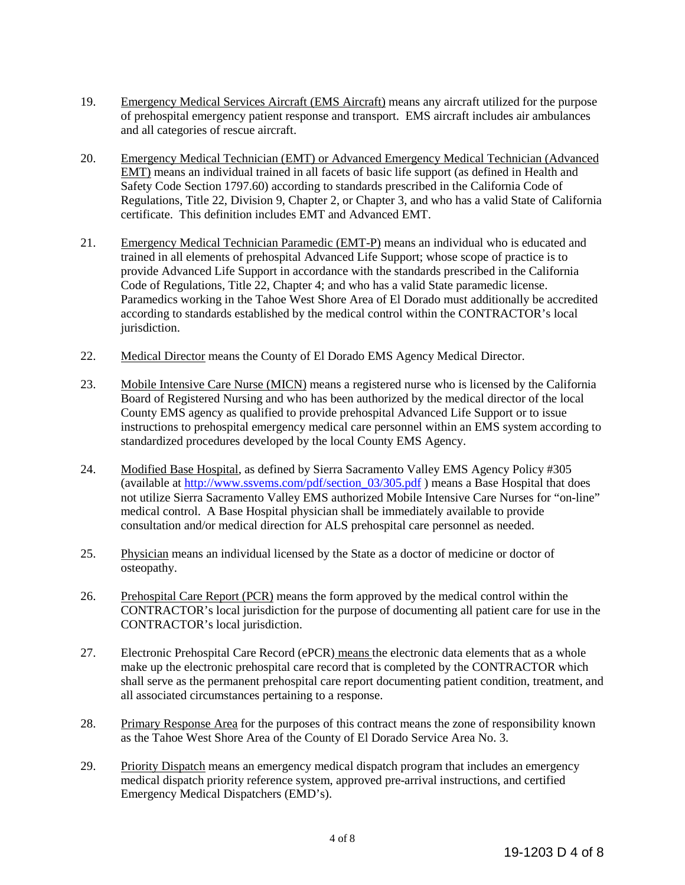- 19. Emergency Medical Services Aircraft (EMS Aircraft) means any aircraft utilized for the purpose of prehospital emergency patient response and transport. EMS aircraft includes air ambulances and all categories of rescue aircraft.
- 20. Emergency Medical Technician (EMT) or Advanced Emergency Medical Technician (Advanced EMT) means an individual trained in all facets of basic life support (as defined in Health and Safety Code Section 1797.60) according to standards prescribed in the California Code of Regulations, Title 22, Division 9, Chapter 2, or Chapter 3, and who has a valid State of California certificate. This definition includes EMT and Advanced EMT.
- 21. Emergency Medical Technician Paramedic (EMT-P) means an individual who is educated and trained in all elements of prehospital Advanced Life Support; whose scope of practice is to provide Advanced Life Support in accordance with the standards prescribed in the California Code of Regulations, Title 22, Chapter 4; and who has a valid State paramedic license. Paramedics working in the Tahoe West Shore Area of El Dorado must additionally be accredited according to standards established by the medical control within the CONTRACTOR's local jurisdiction.
- 22. Medical Director means the County of El Dorado EMS Agency Medical Director.
- 23. Mobile Intensive Care Nurse (MICN) means a registered nurse who is licensed by the California Board of Registered Nursing and who has been authorized by the medical director of the local County EMS agency as qualified to provide prehospital Advanced Life Support or to issue instructions to prehospital emergency medical care personnel within an EMS system according to standardized procedures developed by the local County EMS Agency.
- 24. Modified Base Hospital, as defined by Sierra Sacramento Valley EMS Agency Policy #305 (available at [http://www.ssvems.com/pdf/section\\_03/305.pdf](http://www.ssvems.com/pdf/section_03/305.pdf) ) means a Base Hospital that does not utilize Sierra Sacramento Valley EMS authorized Mobile Intensive Care Nurses for "on-line" medical control. A Base Hospital physician shall be immediately available to provide consultation and/or medical direction for ALS prehospital care personnel as needed.
- 25. Physician means an individual licensed by the State as a doctor of medicine or doctor of osteopathy.
- 26. Prehospital Care Report (PCR) means the form approved by the medical control within the CONTRACTOR's local jurisdiction for the purpose of documenting all patient care for use in the CONTRACTOR's local jurisdiction.
- 27. Electronic Prehospital Care Record (ePCR) means the electronic data elements that as a whole make up the electronic prehospital care record that is completed by the CONTRACTOR which shall serve as the permanent prehospital care report documenting patient condition, treatment, and all associated circumstances pertaining to a response.
- 28. Primary Response Area for the purposes of this contract means the zone of responsibility known as the Tahoe West Shore Area of the County of El Dorado Service Area No. 3.
- 29. Priority Dispatch means an emergency medical dispatch program that includes an emergency medical dispatch priority reference system, approved pre-arrival instructions, and certified Emergency Medical Dispatchers (EMD's).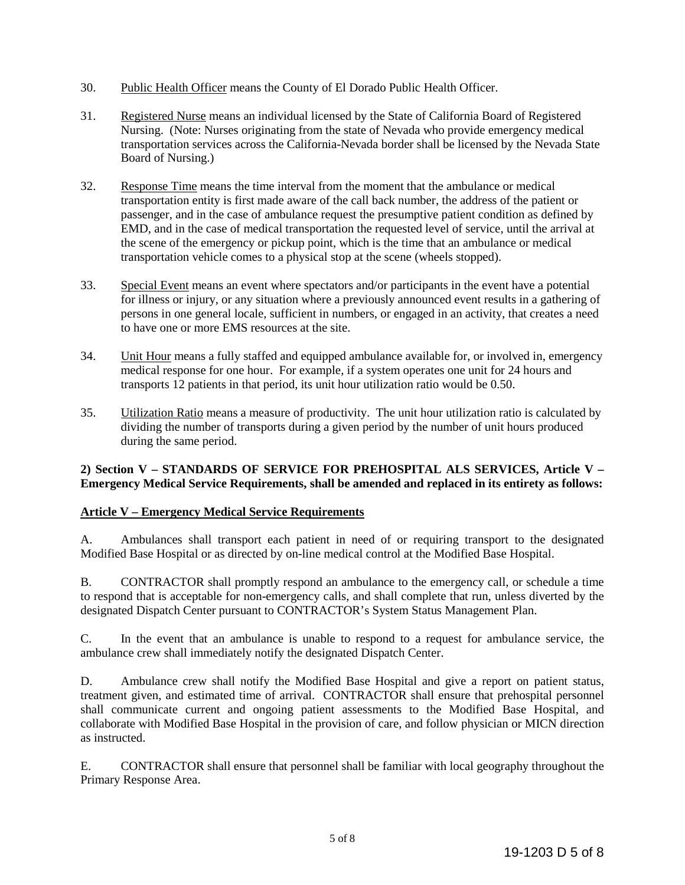- 30. Public Health Officer means the County of El Dorado Public Health Officer.
- 31. Registered Nurse means an individual licensed by the State of California Board of Registered Nursing. (Note: Nurses originating from the state of Nevada who provide emergency medical transportation services across the California-Nevada border shall be licensed by the Nevada State Board of Nursing.)
- 32. Response Time means the time interval from the moment that the ambulance or medical transportation entity is first made aware of the call back number, the address of the patient or passenger, and in the case of ambulance request the presumptive patient condition as defined by EMD, and in the case of medical transportation the requested level of service, until the arrival at the scene of the emergency or pickup point, which is the time that an ambulance or medical transportation vehicle comes to a physical stop at the scene (wheels stopped).
- 33. Special Event means an event where spectators and/or participants in the event have a potential for illness or injury, or any situation where a previously announced event results in a gathering of persons in one general locale, sufficient in numbers, or engaged in an activity, that creates a need to have one or more EMS resources at the site.
- 34. Unit Hour means a fully staffed and equipped ambulance available for, or involved in, emergency medical response for one hour. For example, if a system operates one unit for 24 hours and transports 12 patients in that period, its unit hour utilization ratio would be 0.50.
- 35. Utilization Ratio means a measure of productivity. The unit hour utilization ratio is calculated by dividing the number of transports during a given period by the number of unit hours produced during the same period.

#### **2) Section V – STANDARDS OF SERVICE FOR PREHOSPITAL ALS SERVICES, Article V – Emergency Medical Service Requirements, shall be amended and replaced in its entirety as follows:**

## **Article V – Emergency Medical Service Requirements**

A. Ambulances shall transport each patient in need of or requiring transport to the designated Modified Base Hospital or as directed by on-line medical control at the Modified Base Hospital.

B. CONTRACTOR shall promptly respond an ambulance to the emergency call, or schedule a time to respond that is acceptable for non-emergency calls, and shall complete that run, unless diverted by the designated Dispatch Center pursuant to CONTRACTOR's System Status Management Plan.

C. In the event that an ambulance is unable to respond to a request for ambulance service, the ambulance crew shall immediately notify the designated Dispatch Center.

D. Ambulance crew shall notify the Modified Base Hospital and give a report on patient status, treatment given, and estimated time of arrival. CONTRACTOR shall ensure that prehospital personnel shall communicate current and ongoing patient assessments to the Modified Base Hospital, and collaborate with Modified Base Hospital in the provision of care, and follow physician or MICN direction as instructed.

E. CONTRACTOR shall ensure that personnel shall be familiar with local geography throughout the Primary Response Area.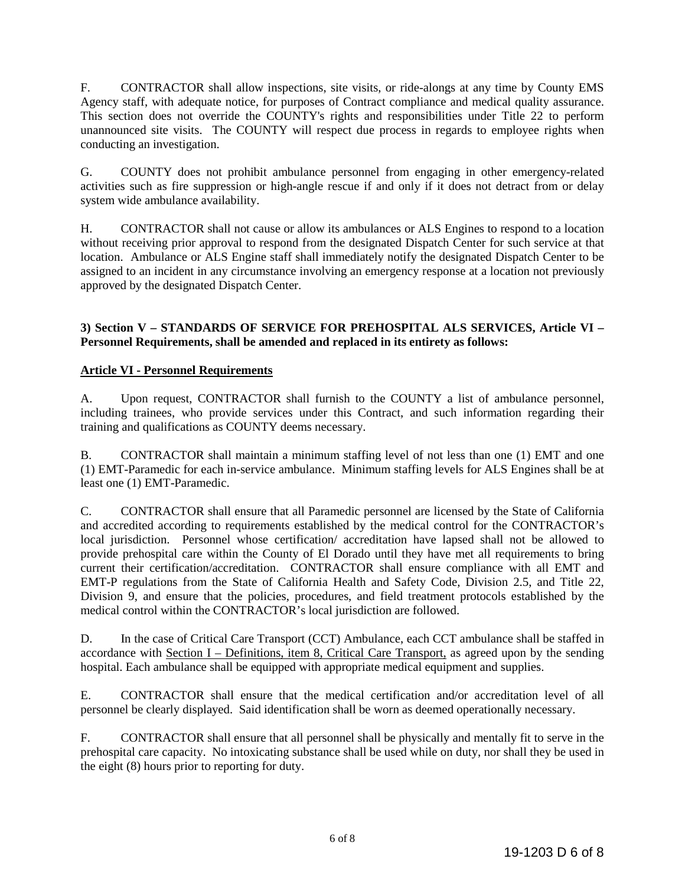F. CONTRACTOR shall allow inspections, site visits, or ride-alongs at any time by County EMS Agency staff, with adequate notice, for purposes of Contract compliance and medical quality assurance. This section does not override the COUNTY's rights and responsibilities under Title 22 to perform unannounced site visits. The COUNTY will respect due process in regards to employee rights when conducting an investigation.

G. COUNTY does not prohibit ambulance personnel from engaging in other emergency-related activities such as fire suppression or high-angle rescue if and only if it does not detract from or delay system wide ambulance availability.

H. CONTRACTOR shall not cause or allow its ambulances or ALS Engines to respond to a location without receiving prior approval to respond from the designated Dispatch Center for such service at that location. Ambulance or ALS Engine staff shall immediately notify the designated Dispatch Center to be assigned to an incident in any circumstance involving an emergency response at a location not previously approved by the designated Dispatch Center.

#### **3) Section V – STANDARDS OF SERVICE FOR PREHOSPITAL ALS SERVICES, Article VI – Personnel Requirements, shall be amended and replaced in its entirety as follows:**

## **Article VI - Personnel Requirements**

A. Upon request, CONTRACTOR shall furnish to the COUNTY a list of ambulance personnel, including trainees, who provide services under this Contract, and such information regarding their training and qualifications as COUNTY deems necessary.

B. CONTRACTOR shall maintain a minimum staffing level of not less than one (1) EMT and one (1) EMT-Paramedic for each in-service ambulance. Minimum staffing levels for ALS Engines shall be at least one (1) EMT-Paramedic.

C. CONTRACTOR shall ensure that all Paramedic personnel are licensed by the State of California and accredited according to requirements established by the medical control for the CONTRACTOR's local jurisdiction. Personnel whose certification/ accreditation have lapsed shall not be allowed to provide prehospital care within the County of El Dorado until they have met all requirements to bring current their certification/accreditation. CONTRACTOR shall ensure compliance with all EMT and EMT-P regulations from the State of California Health and Safety Code, Division 2.5, and Title 22, Division 9, and ensure that the policies, procedures, and field treatment protocols established by the medical control within the CONTRACTOR's local jurisdiction are followed.

D. In the case of Critical Care Transport (CCT) Ambulance, each CCT ambulance shall be staffed in accordance with Section I – Definitions, item 8, Critical Care Transport, as agreed upon by the sending hospital. Each ambulance shall be equipped with appropriate medical equipment and supplies.

E. CONTRACTOR shall ensure that the medical certification and/or accreditation level of all personnel be clearly displayed. Said identification shall be worn as deemed operationally necessary.

F. CONTRACTOR shall ensure that all personnel shall be physically and mentally fit to serve in the prehospital care capacity. No intoxicating substance shall be used while on duty, nor shall they be used in the eight (8) hours prior to reporting for duty.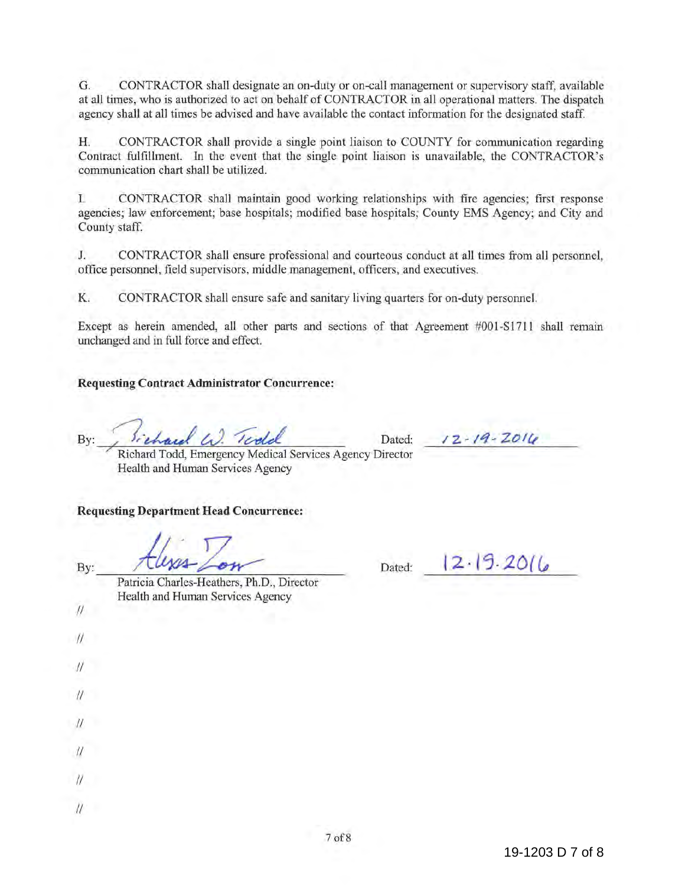G. CONTRACTOR shall designate an on-duty or on-call management or supervisory staff, available at all times, who is authorized to act on behalf of CONTRACTOR in all operational matters. The dispatch agency shall at all times be advised and have available the contact information for the designated staff.

H. CONTRACTOR shall provide a single point liaison to COUNTY for communication regarding Contract fulfillment. In the event that the single point liaison is unavailable, the CONTRACTOR's communication chart shall be utilized.

I. CONTRACTOR shall maintain good working relationships with fire agencies; first response agencies; law enforcement; base hospitals; modified base hospitals; County EMS Agency; and City and County staff.

J. CONTRACTOR shall ensure professional and courteous conduct at all times from all personnel, office personnel, field supervisors, middle management, officers, and executives.

K. CONTRACTOR shall ensure safe and sanitary living quarters for on-duty personnel.

Except as herein amended, all other parts and sections of that Agreement #001-S1711 shall remain unchanged and in full force and effect.

#### **Requesting Contract Administrator Concurrence:**

 $By:$  *Sichard W. Teold* Dated:

*IZ-14-ZOI{.,* 

*<sup>7</sup>*Richard Todd, Emergency Medical Services Agency Director Health and Human Services Agency

#### **Requesting Department Head Concurrence:**

By:

Dated:  $12.19.2016$ 

Patricia Charles-Heathers, Ph.D., Director Health and Human Services Agency

 $\eta$ 

 $\frac{1}{2}$ 

 $\prime$ 

 $\prime\prime$ 

 $\mathcal{U}$ 

II

 $\mathcal{U}$ 

 $\prime\prime$